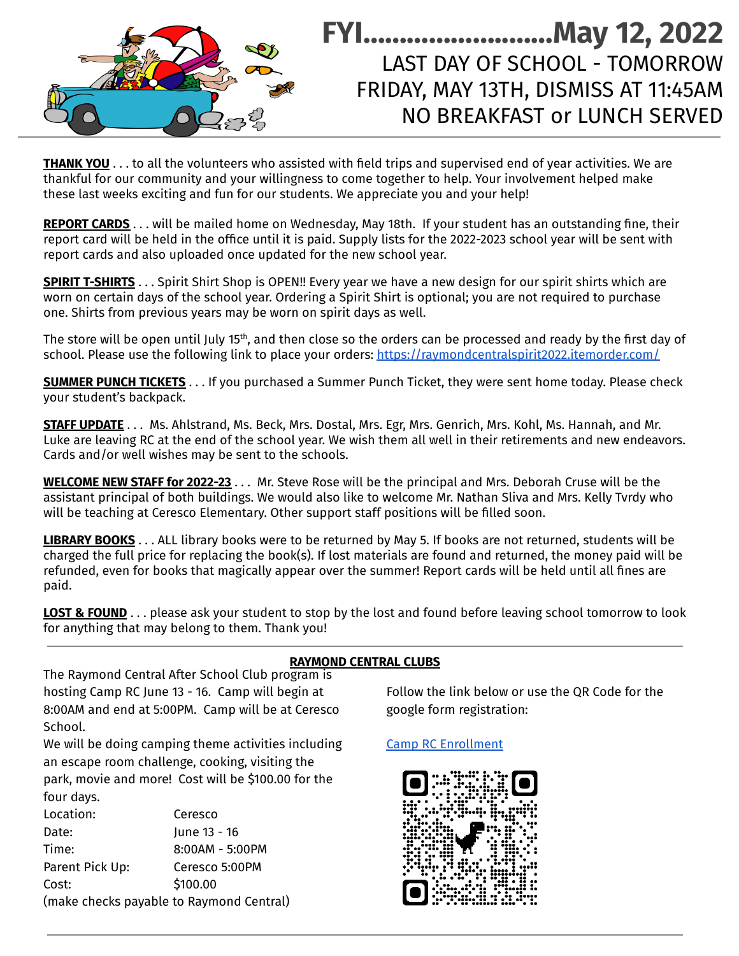## **FYI………………..……May 12, 2022** LAST DAY OF SCHOOL - TOMORROW FRIDAY, MAY 13TH, DISMISS AT 11:45AM NO BREAKFAST or LUNCH SERVED

**THANK YOU** . . . to all the volunteers who assisted with field trips and supervised end of year activities. We are thankful for our community and your willingness to come together to help. Your involvement helped make these last weeks exciting and fun for our students. We appreciate you and your help!

**REPORT CARDS** . . . will be mailed home on Wednesday, May 18th. If your student has an outstanding fine, their report card will be held in the office until it is paid. Supply lists for the 2022-2023 school year will be sent with report cards and also uploaded once updated for the new school year.

**SPIRIT T-SHIRTS** . . . Spirit Shirt Shop is OPEN!! Every year we have a new design for our spirit shirts which are worn on certain days of the school year. Ordering a Spirit Shirt is optional; you are not required to purchase one. Shirts from previous years may be worn on spirit days as well.

The store will be open until July 15<sup>th</sup>, and then close so the orders can be processed and ready by the first day of school. Please use the following link to place your orders: [https://raymondcentralspirit2022.itemorder.com/](https://raymondcentralspirit2022.itemorder.com/shop/sale/)

**SUMMER PUNCH TICKETS** . . . If you purchased a Summer Punch Ticket, they were sent home today. Please check your student's backpack.

**STAFF UPDATE** . . . Ms. Ahlstrand, Ms. Beck, Mrs. Dostal, Mrs. Egr, Mrs. Genrich, Mrs. Kohl, Ms. Hannah, and Mr. Luke are leaving RC at the end of the school year. We wish them all well in their retirements and new endeavors. Cards and/or well wishes may be sent to the schools.

**WELCOME NEW STAFF for 2022-23** . . . Mr. Steve Rose will be the principal and Mrs. Deborah Cruse will be the assistant principal of both buildings. We would also like to welcome Mr. Nathan Sliva and Mrs. Kelly Tvrdy who will be teaching at Ceresco Elementary. Other support staff positions will be filled soon.

**LIBRARY BOOKS** . . . ALL library books were to be returned by May 5. If books are not returned, students will be charged the full price for replacing the book(s). If lost materials are found and returned, the money paid will be refunded, even for books that magically appear over the summer! Report cards will be held until all fines are paid.

**LOST & FOUND** . . . please ask your student to stop by the lost and found before leaving school tomorrow to look for anything that may belong to them. Thank you!

The Raymond Central After School Club program is hosting Camp RC June 13 - 16. Camp will begin at 8:00AM and end at 5:00PM. Camp will be at Ceresco School.

We will be doing camping theme activities including an escape room challenge, cooking, visiting the park, movie and more! Cost will be \$100.00 for the four days.

| Location:                                | Ceresco           |
|------------------------------------------|-------------------|
| Date:                                    | June 13 - 16      |
| Time:                                    | $8:00AM - 5:00PM$ |
| Parent Pick Up:                          | Ceresco 5:00PM    |
| Cost:                                    | \$100.00          |
| (make checks payable to Raymond Central) |                   |

## **RAYMOND CENTRAL CLUBS**

Follow the link below or use the QR Code for the google form registration:

## Camp RC [Enrollment](https://docs.google.com/forms/d/1eoUaocTEdY8Y0E5tniPGqMli7DD6qz606hObwh80WD8/edit)